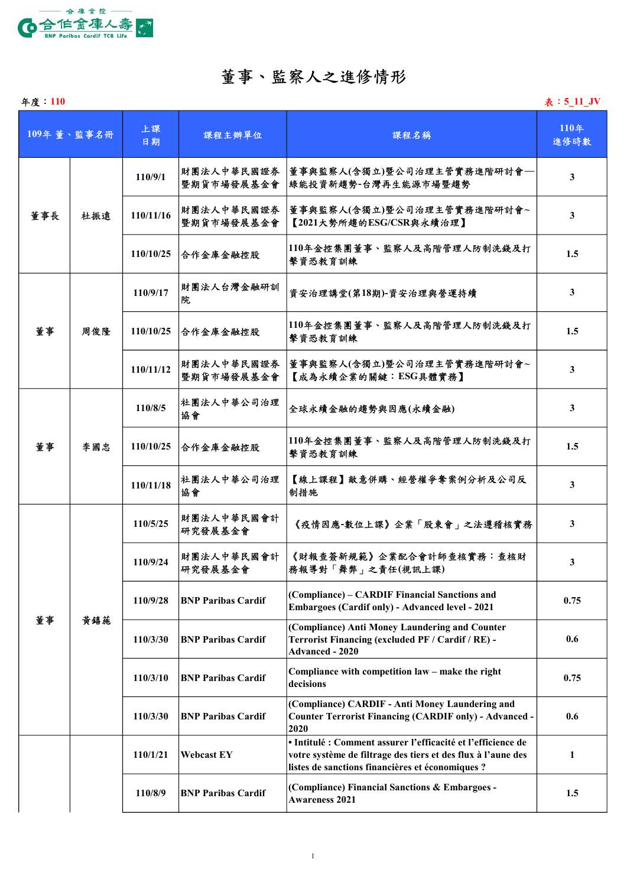

### 董事、監察人之進修情形

| 年度: 110 |            |           |                           |                                                                                                                                                                                  | 表: 5 11 JV   |
|---------|------------|-----------|---------------------------|----------------------------------------------------------------------------------------------------------------------------------------------------------------------------------|--------------|
|         | 109年董、監事名冊 | 上課<br>日期  | 課程主辦單位                    | 課程名稱                                                                                                                                                                             | 110年<br>進修時數 |
|         | 杜振遠        | 110/9/1   | 財團法人中華民國證券<br>暨期貨市場發展基金會  | 董事與監察人(含獨立)暨公司治理主管實務進階研討會-<br>綠能投資新趨勢-台灣再生能源市場暨趨勢                                                                                                                                | $\mathbf{3}$ |
| 董事長     |            | 110/11/16 | 財團法人中華民國證券<br>暨期貨市場發展基金會  | 董事與監察人(含獨立)暨公司治理主管實務進階研討會~<br>【2021大勢所趨的ESG/CSR與永續治理】                                                                                                                            | 3            |
|         |            | 110/10/25 | 合作金庫金融控股                  | 110年金控集團董事、監察人及高階管理人防制洗錢及打<br>擊資恐教育訓練                                                                                                                                            | 1.5          |
|         | 周俊隆        | 110/9/17  | 財團法人台灣金融研訓<br>院           | 資安治理講堂(第18期)-資安治理與營運持續                                                                                                                                                           | 3            |
| 董事      |            | 110/10/25 | 合作金庫金融控股                  | 110年金控集團董事、監察人及高階管理人防制洗錢及打<br>擊資恐教育訓練                                                                                                                                            | 1.5          |
|         |            | 110/11/12 | 財團法人中華民國證券<br>暨期貨市場發展基金會  | 董事與監察人(含獨立)暨公司治理主管實務進階研討會~<br>【成為永續企業的關鍵:ESG具體實務】                                                                                                                                | 3            |
|         | 李國忠        | 110/8/5   | 社團法人中華公司治理<br>協會          | 全球永續金融的趨勢與因應(永續金融)                                                                                                                                                               | 3            |
| 董事      |            | 110/10/25 | 合作金庫金融控股                  | 110年金控集團董事、監察人及高階管理人防制洗錢及打<br>擊資恐教育訓練                                                                                                                                            | 1.5          |
|         |            | 110/11/18 | 社團法人中華公司治理<br>協會          | 【線上課程】敵意併購、經營權爭奪案例分析及公司反<br>制措施                                                                                                                                                  | 3            |
|         | 黃鎮施        | 110/5/25  | 財團法人中華民國會計<br>研究發展基金會     | 《疫情因應-數位上課》企業「股東會」之法遵稽核實務                                                                                                                                                        | 3            |
| 董事      |            | 110/9/24  | 財團法人中華民國會計<br>研究發展基金會     | 《財報查簽新規範》企業配合會計師查核實務:查核財<br>務報導對「舞弊」之責任(視訊上課)                                                                                                                                    | 3            |
|         |            | 110/9/28  | <b>BNP Paribas Cardif</b> | (Compliance) - CARDIF Financial Sanctions and<br><b>Embargoes (Cardif only) - Advanced level - 2021</b>                                                                          | 0.75         |
|         |            | 110/3/30  | <b>BNP Paribas Cardif</b> | (Compliance) Anti Money Laundering and Counter<br>Terrorist Financing (excluded PF / Cardif / RE) -<br><b>Advanced - 2020</b>                                                    | 0.6          |
|         |            | 110/3/10  | <b>BNP Paribas Cardif</b> | Compliance with competition law - make the right<br>decisions                                                                                                                    | 0.75         |
|         |            | 110/3/30  | <b>BNP Paribas Cardif</b> | (Compliance) CARDIF - Anti Money Laundering and<br><b>Counter Terrorist Financing (CARDIF only) - Advanced -</b><br>2020                                                         | 0.6          |
|         |            | 110/1/21  | <b>Webcast EY</b>         | · Intitulé : Comment assurer l'efficacité et l'efficience de<br>votre système de filtrage des tiers et des flux à l'aune des<br>listes de sanctions financières et économiques ? | $\mathbf{1}$ |
|         |            | 110/8/9   | <b>BNP Paribas Cardif</b> | (Compliance) Financial Sanctions & Embargoes -<br><b>Awareness 2021</b>                                                                                                          | 1.5          |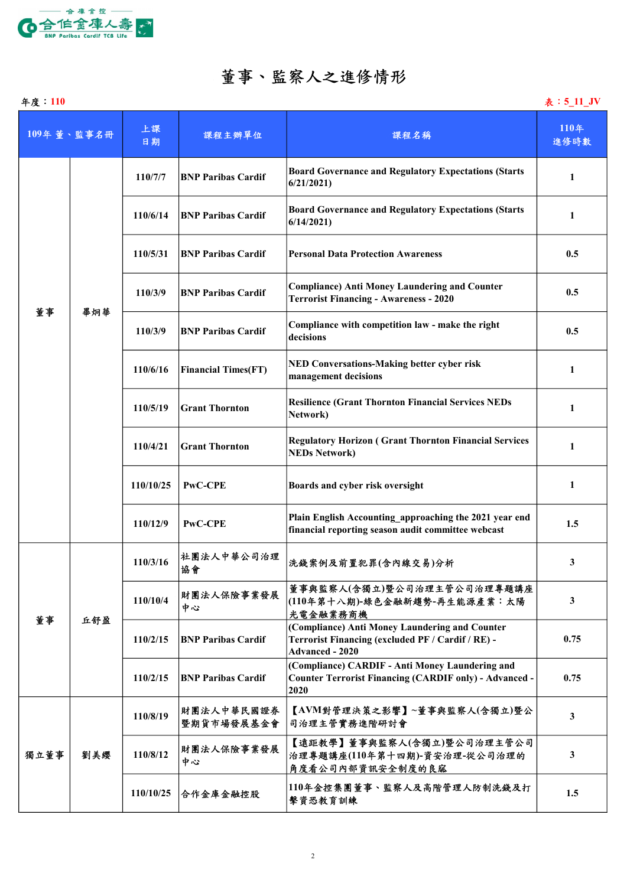

## 董事、監察人之進修情形

| 年度: 110 |            |           |                            |                                                                                                                               | 表: 5_11_JV   |
|---------|------------|-----------|----------------------------|-------------------------------------------------------------------------------------------------------------------------------|--------------|
|         | 109年董、監事名冊 | 上課<br>日期  | 課程主辦單位                     | 課程名稱                                                                                                                          | 110年<br>進修時數 |
| 董事      | 畢炯華        | 110/7/7   | <b>BNP Paribas Cardif</b>  | <b>Board Governance and Regulatory Expectations (Starts</b><br>6/21/2021                                                      | 1            |
|         |            | 110/6/14  | <b>BNP Paribas Cardif</b>  | <b>Board Governance and Regulatory Expectations (Starts</b><br>6/14/2021                                                      | 1            |
|         |            | 110/5/31  | <b>BNP Paribas Cardif</b>  | <b>Personal Data Protection Awareness</b>                                                                                     | 0.5          |
|         |            | 110/3/9   | <b>BNP Paribas Cardif</b>  | <b>Compliance) Anti Money Laundering and Counter</b><br><b>Terrorist Financing - Awareness - 2020</b>                         | 0.5          |
|         |            | 110/3/9   | <b>BNP Paribas Cardif</b>  | Compliance with competition law - make the right<br>decisions                                                                 | 0.5          |
|         |            | 110/6/16  | <b>Financial Times(FT)</b> | <b>NED Conversations-Making better cyber risk</b><br>management decisions                                                     | 1            |
|         |            | 110/5/19  | <b>Grant Thornton</b>      | <b>Resilience (Grant Thornton Financial Services NEDs</b><br>Network)                                                         | 1            |
|         |            | 110/4/21  | <b>Grant Thornton</b>      | <b>Regulatory Horizon (Grant Thornton Financial Services</b><br><b>NEDs Network)</b>                                          | 1            |
|         |            | 110/10/25 | <b>PwC-CPE</b>             | Boards and cyber risk oversight                                                                                               | 1            |
|         |            | 110/12/9  | <b>PwC-CPE</b>             | Plain English Accounting approaching the 2021 year end<br>financial reporting season audit committee webcast                  | 1.5          |
| 董事      | 丘舒盈        | 110/3/16  | 社團法人中華公司治理<br>協會           | 洗錢案例及前置犯罪(含內線交易)分析                                                                                                            | 3            |
|         |            | 110/10/4  | 財團法人保險事業發展<br>中心           | 董事與監察人(含獨立)暨公司治理主管公司治理專題講座<br>(110年第十八期)-綠色金融新趨勢-再生能源產業:太陽<br>光電金融業務商機                                                        | $\mathbf{3}$ |
|         |            | 110/2/15  | <b>BNP Paribas Cardif</b>  | (Compliance) Anti Money Laundering and Counter<br>Terrorist Financing (excluded PF / Cardif / RE) -<br><b>Advanced - 2020</b> | 0.75         |
|         |            | 110/2/15  | <b>BNP Paribas Cardif</b>  | (Compliance) CARDIF - Anti Money Laundering and<br><b>Counter Terrorist Financing (CARDIF only) - Advanced -</b><br>2020      | 0.75         |
| 獨立董事    | 劉美纓        | 110/8/19  | 財團法人中華民國證券<br>暨期貨市場發展基金會   | 【AVM對管理決策之影響】~董事與監察人(含獨立)暨公<br>司治理主管實務進階研討會                                                                                   | $\mathbf{3}$ |
|         |            | 110/8/12  | 財團法人保險事業發展<br>中心           | 【遠距教學】董事與監察人(含獨立)暨公司治理主管公司<br>治理專題講座(110年第十四期)-資安治理-從公司治理的<br>角度看公司內部資訊安全制度的良窳                                                | $\mathbf{3}$ |
|         |            | 110/10/25 | 合作金庫金融控股                   | 110年金控集團董事、監察人及高階管理人防制洗錢及打<br>擊資恐教育訓練                                                                                         | 1.5          |